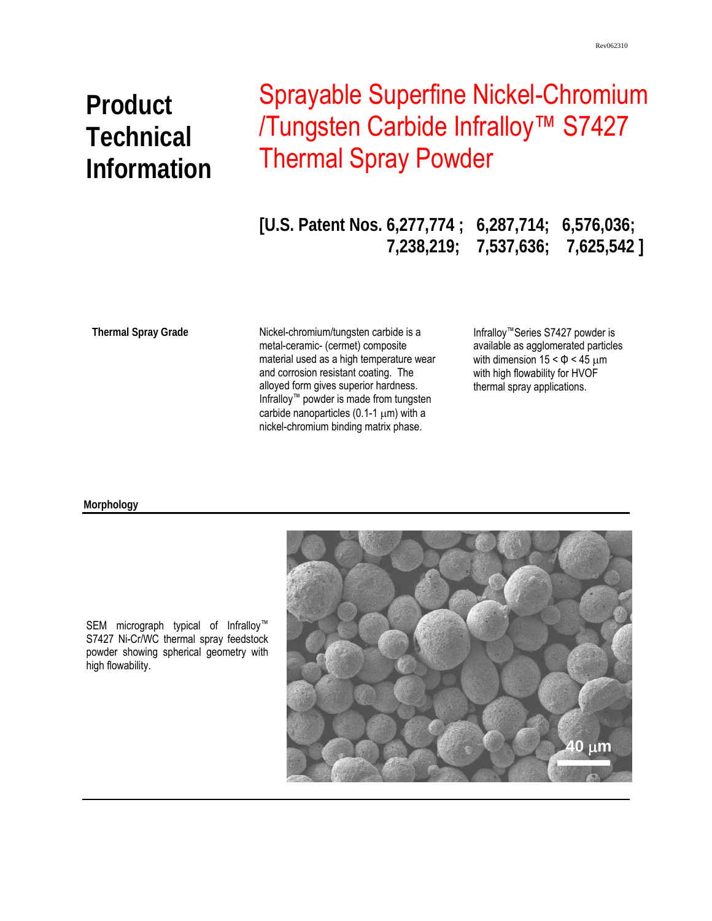# **Product Technical Information**

## Sprayable Superfine Nickel-Chromium /Tungsten Carbide Infralloy™ S7427 Thermal Spray Powder

**[U.S. Patent Nos. 6,277,774 ; 6,287,714; 6,576,036; 7,238,219; 7,537,636; 7,625,542 ]** 

**Thermal Spray Grade** 

Nickel-chromium/tungsten carbide is a metal-ceramic- (cermet) composite material used as a high temperature wear and corrosion resistant coating. The alloyed form gives superior hardness. Infralloy™ powder is made from tungsten carbide nanoparticles  $(0.1-1 \mu m)$  with a nickel-chromium binding matrix phase.

Infralloy™Series S7427 powder is available as agglomerated particles with dimension  $15 < \Phi < 45 \mu m$ with high flowability for HVOF thermal spray applications.

#### **Morphology**



SEM micrograph typical of Infralloy<sup>™</sup> S7427 Ni-Cr/WC thermal spray feedstock powder showing spherical geometry with high flowability.